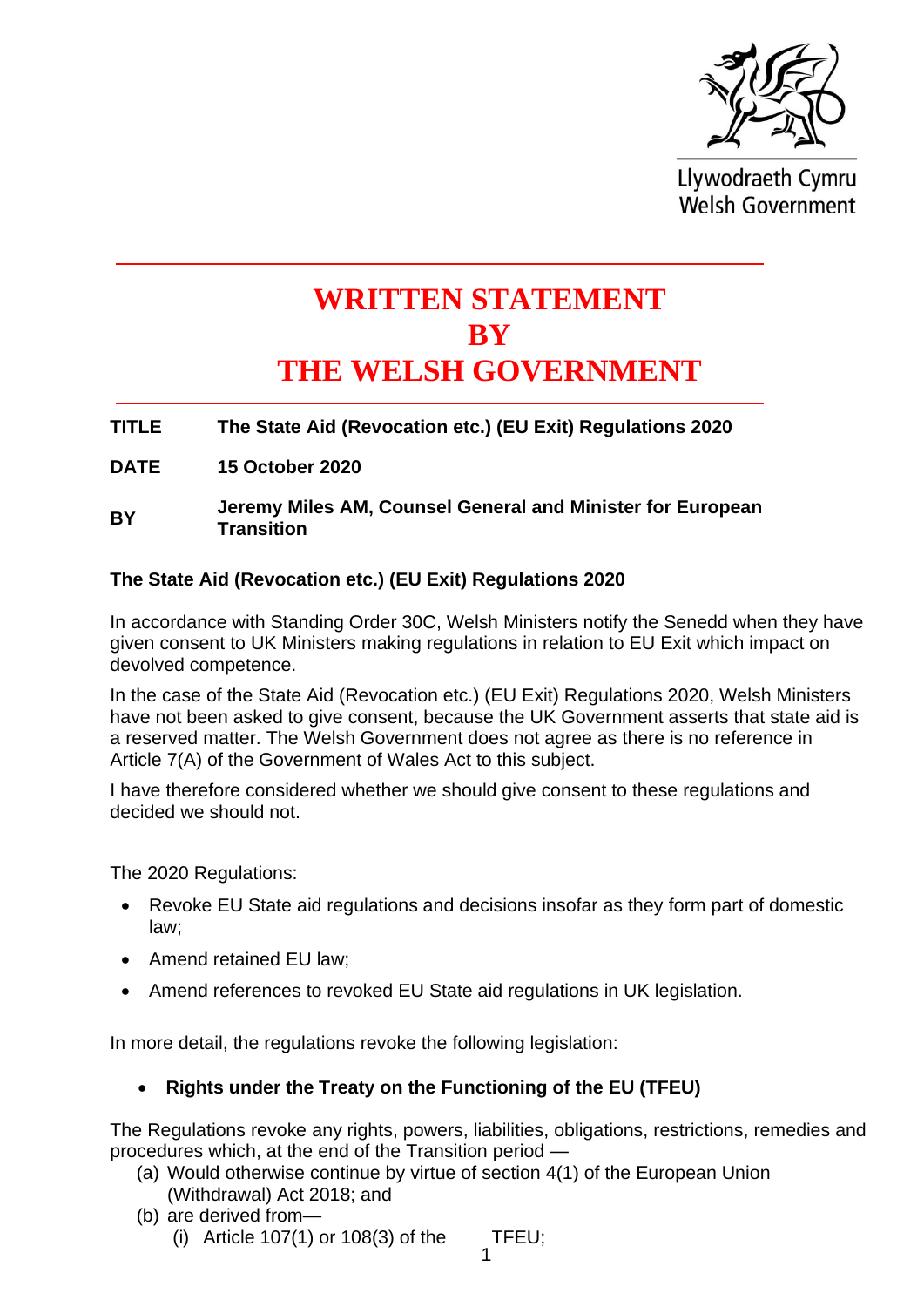

Llywodraeth Cymru **Welsh Government** 

# **WRITTEN STATEMENT BY THE WELSH GOVERNMENT**

# **TITLE The State Aid (Revocation etc.) (EU Exit) Regulations 2020**

**DATE 15 October 2020**

#### **BY Jeremy Miles AM, Counsel General and Minister for European Transition**

#### **The State Aid (Revocation etc.) (EU Exit) Regulations 2020**

In accordance with Standing Order 30C, Welsh Ministers notify the Senedd when they have given consent to UK Ministers making regulations in relation to EU Exit which impact on devolved competence.

In the case of the State Aid (Revocation etc.) (EU Exit) Regulations 2020, Welsh Ministers have not been asked to give consent, because the UK Government asserts that state aid is a reserved matter. The Welsh Government does not agree as there is no reference in Article 7(A) of the Government of Wales Act to this subject.

I have therefore considered whether we should give consent to these regulations and decided we should not.

The 2020 Regulations:

- Revoke EU State aid regulations and decisions insofar as they form part of domestic law;
- Amend retained EU law;
- Amend references to revoked EU State aid regulations in UK legislation.

In more detail, the regulations revoke the following legislation:

# • **Rights under the Treaty on the Functioning of the EU (TFEU)**

The Regulations revoke any rights, powers, liabilities, obligations, restrictions, remedies and procedures which, at the end of the Transition period —

- (a) Would otherwise continue by virtue of section 4(1) of the European Union (Withdrawal) Act 2018; and
- (b) are derived from—
	- (i) Article  $107(1)$  or  $108(3)$  of the TFEU;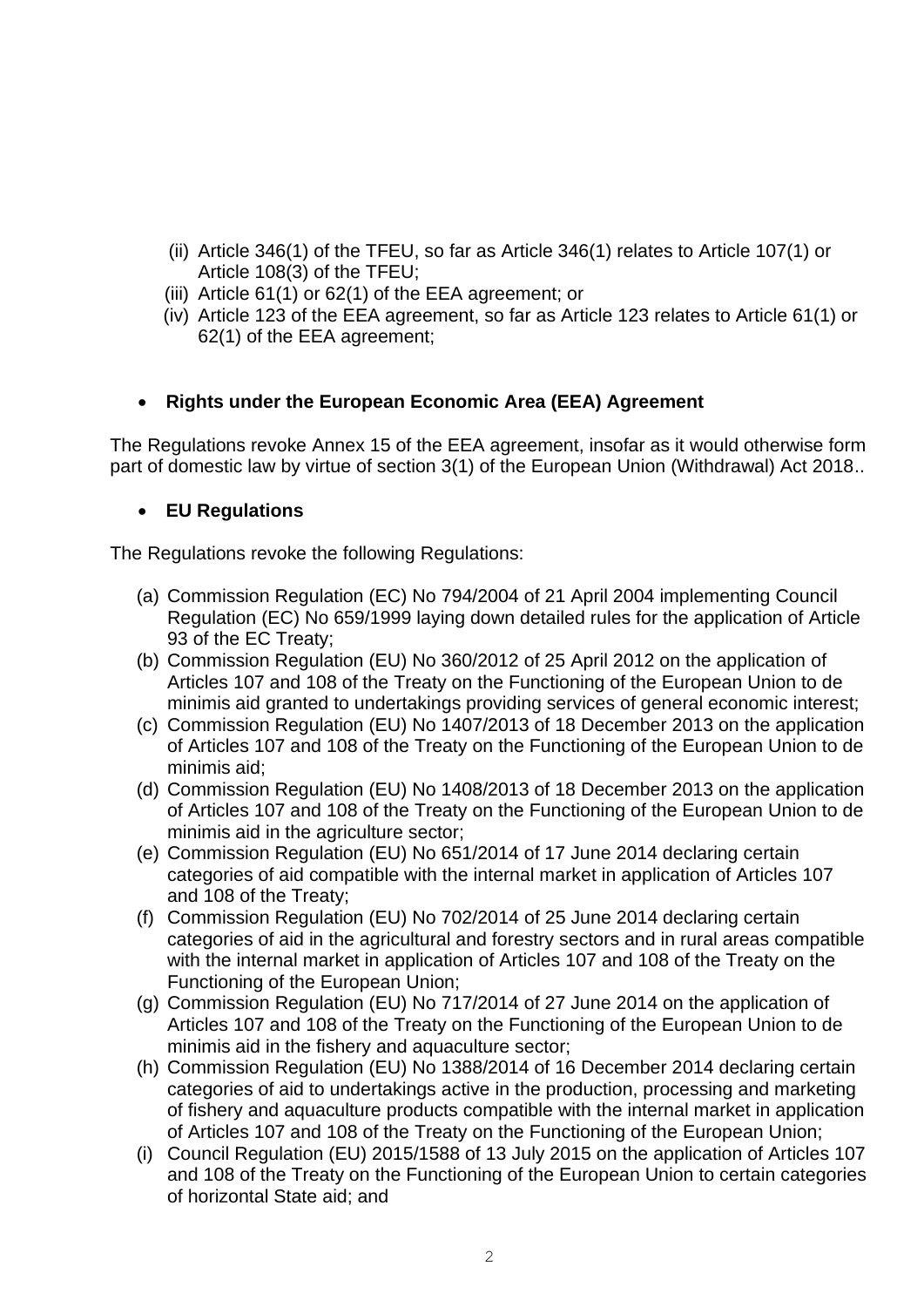- (ii) Article 346(1) of the TFEU, so far as Article 346(1) relates to Article 107(1) or Article 108(3) of the TFEU;
- (iii) Article 61(1) or 62(1) of the EEA agreement; or
- (iv) Article 123 of the EEA agreement, so far as Article 123 relates to Article 61(1) or 62(1) of the EEA agreement;

# • **Rights under the European Economic Area (EEA) Agreement**

The Regulations revoke Annex 15 of the EEA agreement, insofar as it would otherwise form part of domestic law by virtue of section 3(1) of the European Union (Withdrawal) Act 2018..

# • **EU Regulations**

The Regulations revoke the following Regulations:

- (a) Commission Regulation (EC) No 794/2004 of 21 April 2004 implementing Council Regulation (EC) No 659/1999 laying down detailed rules for the application of Article 93 of the EC Treaty;
- (b) Commission Regulation (EU) No 360/2012 of 25 April 2012 on the application of Articles 107 and 108 of the Treaty on the Functioning of the European Union to de minimis aid granted to undertakings providing services of general economic interest;
- (c) Commission Regulation (EU) No 1407/2013 of 18 December 2013 on the application of Articles 107 and 108 of the Treaty on the Functioning of the European Union to de minimis aid;
- (d) Commission Regulation (EU) No 1408/2013 of 18 December 2013 on the application of Articles 107 and 108 of the Treaty on the Functioning of the European Union to de minimis aid in the agriculture sector;
- (e) Commission Regulation (EU) No 651/2014 of 17 June 2014 declaring certain categories of aid compatible with the internal market in application of Articles 107 and 108 of the Treaty;
- (f) Commission Regulation (EU) No 702/2014 of 25 June 2014 declaring certain categories of aid in the agricultural and forestry sectors and in rural areas compatible with the internal market in application of Articles 107 and 108 of the Treaty on the Functioning of the European Union;
- (g) Commission Regulation (EU) No 717/2014 of 27 June 2014 on the application of Articles 107 and 108 of the Treaty on the Functioning of the European Union to de minimis aid in the fishery and aquaculture sector;
- (h) Commission Regulation (EU) No 1388/2014 of 16 December 2014 declaring certain categories of aid to undertakings active in the production, processing and marketing of fishery and aquaculture products compatible with the internal market in application of Articles 107 and 108 of the Treaty on the Functioning of the European Union;
- (i) Council Regulation (EU) 2015/1588 of 13 July 2015 on the application of Articles 107 and 108 of the Treaty on the Functioning of the European Union to certain categories of horizontal State aid; and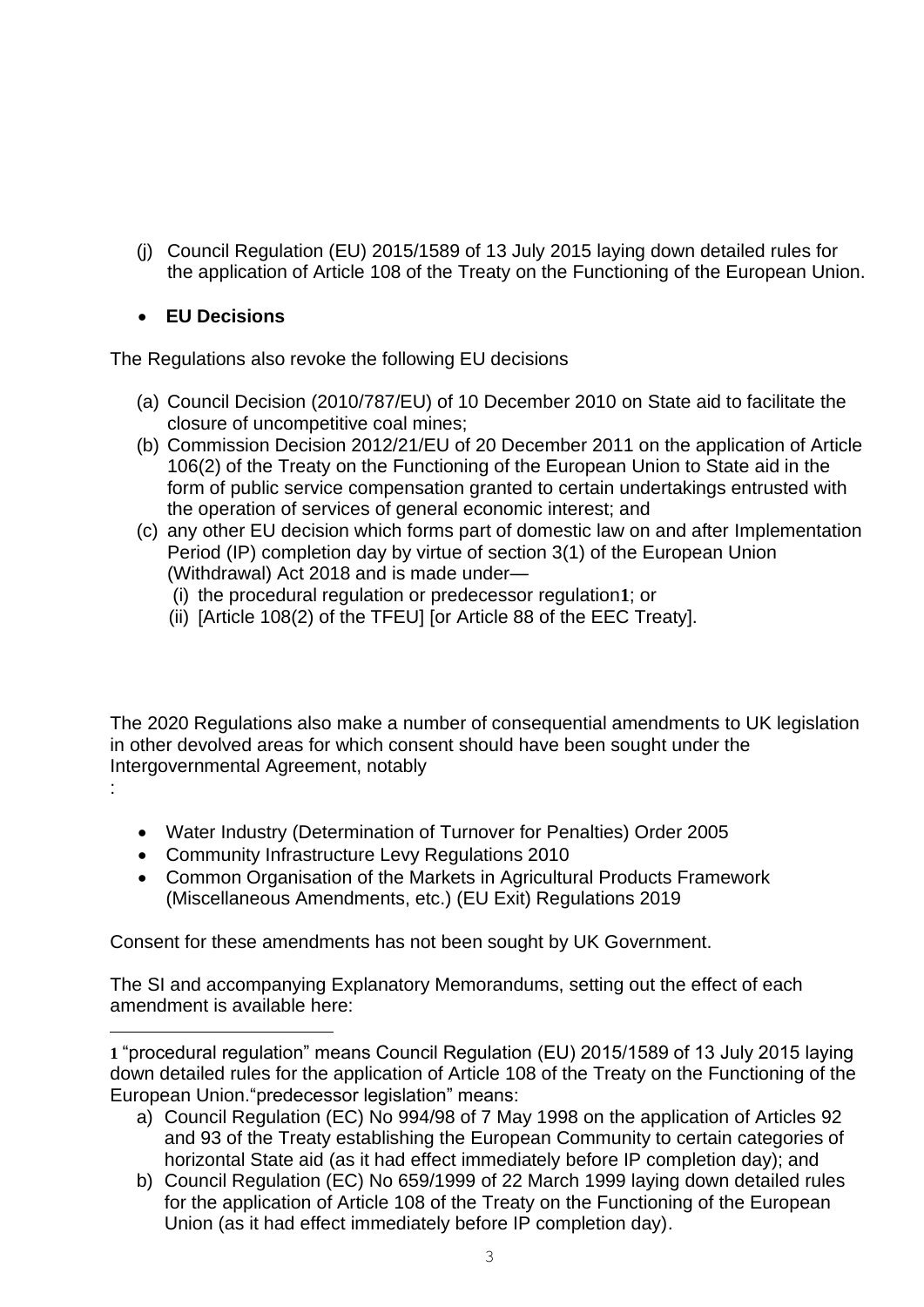(j) Council Regulation (EU) 2015/1589 of 13 July 2015 laying down detailed rules for the application of Article 108 of the Treaty on the Functioning of the European Union.

# • **EU Decisions**

The Regulations also revoke the following EU decisions

- (a) Council Decision (2010/787/EU) of 10 December 2010 on State aid to facilitate the closure of uncompetitive coal mines;
- (b) Commission Decision 2012/21/EU of 20 December 2011 on the application of Article 106(2) of the Treaty on the Functioning of the European Union to State aid in the form of public service compensation granted to certain undertakings entrusted with the operation of services of general economic interest; and
- (c) any other EU decision which forms part of domestic law on and after Implementation Period (IP) completion day by virtue of section 3(1) of the European Union (Withdrawal) Act 2018 and is made under—
	- (i) the procedural regulation or predecessor regulation**1**; or
	- (ii) [Article 108(2) of the TFEU] [or Article 88 of the EEC Treaty].

The 2020 Regulations also make a number of consequential amendments to UK legislation in other devolved areas for which consent should have been sought under the Intergovernmental Agreement, notably

- :
- Water Industry (Determination of Turnover for Penalties) Order 2005
- Community Infrastructure Levy Regulations 2010
- Common Organisation of the Markets in Agricultural Products Framework (Miscellaneous Amendments, etc.) (EU Exit) Regulations 2019

Consent for these amendments has not been sought by UK Government.

The SI and accompanying Explanatory Memorandums, setting out the effect of each amendment is available here:

**1** "procedural regulation" means Council Regulation (EU) 2015/1589 of 13 July 2015 laying down detailed rules for the application of Article 108 of the Treaty on the Functioning of the European Union."predecessor legislation" means:

- a) Council Regulation (EC) No 994/98 of 7 May 1998 on the application of Articles 92 and 93 of the Treaty establishing the European Community to certain categories of horizontal State aid (as it had effect immediately before IP completion day); and
- b) Council Regulation (EC) No 659/1999 of 22 March 1999 laying down detailed rules for the application of Article 108 of the Treaty on the Functioning of the European Union (as it had effect immediately before IP completion day).